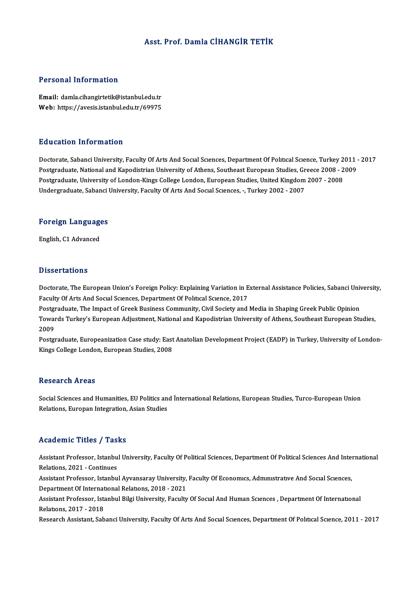# Asst. Prof. Damla CİHANGİR TETİK

#### Personal Information

Personal Information<br>Email: damla.cihangirtetik@istanbul.edu.tr<br>Web: https://avesis.istanbul.edu.tr/60075 r oroonar meestandusen<br>Email: damla.cihangirtetik@istanbul.edu.tr<br>Web: https://avesis.istanbul.edu.tr/69975 Web: https://avesis.istanbul.edu.tr/69975<br>Education Information

Doctorate, Sabanci University, Faculty Of Arts And Social Sciences, Department Of Political Science, Turkey 2011 - 2017 Postgraduate, National and Kapodistrian University of Athens, Southeast European Studies, Greece 2008 - 2009 Doctorate, Sabanci University, Faculty Of Arts And Social Sciences, Department Of Political Science, Turkey 2<br>Postgraduate, National and Kapodistrian University of Athens, Southeast European Studies, Greece 2008 - 2<br>Postgr Postgraduate, National and Kapodistrian University of Athens, Southeast European Studies, Gr<br>Postgraduate, University of London-Kings College London, European Studies, United Kingdom<br>Undergraduate, Sabanci University, Facu

# ondergraduate, sabanci t<br>Foreign Languages <mark>Foreign Languag</mark>e<br>English, C1 Advanced

English, C1 Advanced<br>Dissertations

Dissertations<br>Doctorate, The European Union's Foreign Policy: Explaining Variation in External Assistance Policies, Sabanci University,<br>Faculty Of Arts And Sacral Sciences, Department Of Political Science, 2017 Basser carrens<br>Doctorate, The European Union's Foreign Policy: Explaining Variation in E<br>Faculty Of Arts And Social Sciences, Department Of Political Science, 2017<br>Postsraduate, The Impact of Creek Business Community, Civi Doctorate, The European Union's Foreign Policy: Explaining Variation in External Assistance Policies, Sabanci Univ<br>Faculty Of Arts And Social Sciences, Department Of Political Science, 2017<br>Postgraduate, The Impact of Gree

Faculty Of Arts And Social Sciences, Department Of Political Science, 2017<br>Postgraduate, The Impact of Greek Business Community, Civil Society and Media in Shaping Greek Public Opinion<br>Towards Turkey's European Adjustment, Postgi<br>Towai<br>2009<br>Postgi Towards Turkey's European Adjustment, National and Kapodistrian University of Athens, Southeast European Studies,<br>2009<br>Postgraduate, Europeanization Case study: East Anatolian Development Project (EADP) in Turkey, Universi

2009<br>Postgraduate, Europeanization Case study: East Anatolian Development Project (EADP) in Turkey, University of London-<br>Kings College London, European Studies, 2008

#### **Research Areas**

Research Areas<br>Social Sciences and Humanities, EU Politics and İnternational Relations, European Studies, Turco-European Union<br>Relations, Europen Integration, Asian Studies Rebeut en 111 eus<br>Social Sciences and Humanities, EU Politics an<br>Relations, Europan Integration, Asian Studies Relations, Europan Integration, Asian Studies<br>Academic Titles / Tasks

Academic Titles / Tasks<br>Assistant Professor, Istanbul University, Faculty Of Political Sciences, Department Of Political Sciences And International<br>Relations, 2021 - Continues Relations, 2021 - Continues<br>Relations, 2021 - Continues<br>Assistant Professor, Istanbu Assistant Professor, Istanbul University, Faculty Of Political Sciences, Department Of Political Sciences And Inter<br>Relations, 2021 - Continues<br>Assistant Professor, Istanbul Ayvansaray University, Faculty Of Economics, Adm

Relations, 2021 - Continues<br>Assistant Professor, Istanbul Ayvansaray University, Faculty Of Economics, Administrative And Social Sciences,<br>Department Of International Relations, 2018 - 2021 Assistant Professor, Istanbul Ayvansaray University, Faculty Of Economics, Administrative And Social Sciences,<br>Department Of International Relations, 2018 - 2021<br>Assistant Professor, Istanbul Bilgi University, Faculty Of S

Department Of Internat<br>Assistant Professor, Ista<br>Relations, 2017 - 2018<br>Researsh Assistant, Sab Assistant Professor, Istanbul Bilgi University, Faculty Of Socıal And Human Scıences , Department Of International<br>Relations, 2017 - 2018<br>Research Assistant, Sabanci University, Faculty Of Arts And Social Sciences, Departm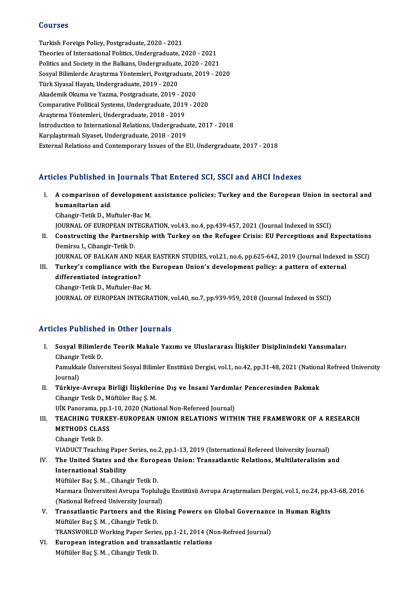### Courses

Turkish Foreign Policy, Postgraduate, 2020 - 2021 Theories of International Politics, Undergraduate, 2020 - 2021 Politics and Society in the Balkans, Undergraduate, 2020 - 2021 Theories of International Politics, Undergraduate, 2020 - 2021<br>Politics and Society in the Balkans, Undergraduate, 2020 - 2021<br>Sosyal Bilimlerde Araştırma Yöntemleri, Postgraduate, 2019 - 2020<br>Türk Siyasel Hayatı, Undergra Politics and Society in the Balkans, Undergraduate<br>Sosyal Bilimlerde Araştırma Yöntemleri, Postgrad<br>Türk Siyasal Hayatı, Undergraduate, 2019 - 2020<br>Akademik Olayma ve Yazma, Postgraduate, 2019 Sosyal Bilimlerde Araştırma Yöntemleri, Postgraduate, 2<br>Türk Siyasal Hayatı, Undergraduate, 2019 - 2020<br>Akademik Okuma ve Yazma, Postgraduate, 2019 - 2020<br>Comparative Bolitical Systems, Undergraduate, 2019 - 20 Türk Siyasal Hayatı, Undergraduate, 2019 - 2020<br>Akademik Okuma ve Yazma, Postgraduate, 2019 - 2020<br>Comparative Political Systems, Undergraduate, 2019 - 2020<br>Araştırma Yöntemleri, Undergraduate, 2018 - 2019 Akademik Okuma ve Yazma, Postgraduate, 2019 - 2020 Comparative Political Systems, Undergraduate, 2019 - 2020<br>Araştırma Yöntemleri, Undergraduate, 2018 - 2019<br>Introduction to International Relations, Undergraduate, 2017 - 2018<br>Karsılastırmalı Siyaset, Undergraduate, 2019 - Araştırma Yöntemleri, Undergraduate, 2018 - 2019<br>Introduction to International Relations, Undergradua<br>Karşılaştırmalı Siyaset, Undergraduate, 2018 - 2019<br>External Belations and Contemporary Jesues of the L Karşılaştırmalı Siyaset, Undergraduate, 2018 - 2019<br>External Relations and Contemporary Issues of the EU, Undergraduate, 2017 - 2018

# Articles Published in Journals That Entered SCI, SSCI and AHCI Indexes

rticles Published in Journals That Entered SCI, SSCI and AHCI Indexes<br>I. A comparison of development assistance policies: Turkey and the European Union in sectoral and<br>hymenitation aid humanitarian of chumanitarian aid<br>Cihangir Tatik D. Mi A comparison of development<br>humanitarian aid<br>Cihangir-Tetik D., Muftuler-Bac M.<br>JOUPNAL OF FUPOPEAN INTECPA humanitarian aid<br>Cihangir-Tetik D., Muftuler-Bac M.<br>JOURNAL OF EUROPEAN INTEGRATION, vol.43, no.4, pp.439-457, 2021 (Journal Indexed in SSCI)

Cihangir-Tetik D., Muftuler-Bac M.<br>JOURNAL OF EUROPEAN INTEGRATION, vol.43, no.4, pp.439-457, 2021 (Journal Indexed in SSCI)<br>II. Constructing the Partnership with Turkey on the Refugee Crisis: EU Perceptions and Expectatio **JOURNAL OF EUROPEAN INT<br>Constructing the Partner<br>Demirsu I., Cihangir-Tetik D.**<br>JOURNAL OF RALKAN AND I Constructing the Partnership with Turkey on the Refugee Crisis: EU Perceptions and Expectations<br>Demirsu I., Cihangir-Tetik D.<br>JOURNAL OF BALKAN AND NEAR EASTERN STUDIES, vol.21, no.6, pp.625-642, 2019 (Journal Indexed in S Demirsu I., Cihangir-Tetik D.<br>JOURNAL OF BALKAN AND NEAR EASTERN STUDIES, vol.21, no.6, pp.625-642, 2019 (Journal Indexed<br>III. Turkey's compliance with the European Union's development policy: a pattern of external<br>differe

JOURNAL OF BALKAN AND NE<br>Turkey's compliance with t<br>differentiated integration?<br>Cibangir Totik D. Muftuler Bac Turkey's compliance with the<br>differentiated integration?<br>Cihangir-Tetik D., Muftuler-Bac M.<br>JOUPMAL OF FUPOPEAN INTECPA differentiated integration?<br>Cihangir-Tetik D., Muftuler-Bac M.<br>JOURNAL OF EUROPEAN INTEGRATION, vol.40, no.7, pp.939-959, 2018 (Journal Indexed in SSCI)

# Articles Published in Other Journals

rticles Published in Other Journals<br>I. Sosyal Bilimlerde Teorik Makale Yazımı ve Uluslararası İlişkiler Disiplinindeki Yansımaları<br>. Sihangin Tetik D Sies 1 denomed<br>Sosyal Bilimler<br>Cihangir Tetik D.<br>Pamukkala Ünive Sosyal Bilimlerde Teorik Makale Yazımı ve Uluslararası İlişkiler Disiplinindeki Yansımaları<br>Cihangir Tetik D.<br>Pamukkale Üniversitesi Sosyal Bilimler Enstitüsü Dergisi, vol.1, no.42, pp.31-48, 2021 (National Refreed Univers Cihangir<br>Pamukka<br>Journal)<br>Türkiye Pamukkale Üniversitesi Sosyal Bilimler Enstitüsü Dergisi, vol.1, no.42, pp.31-48, 2021 (National)<br>Journal)<br>II. Türkiye-Avrupa Birliği İlişkilerine Dış ve İnsani Yardımlar Penceresinden Bakmak<br>Cihangir Tatik D. Müftüler Bac Journal)<br>**Türkiye-Avrupa Birliği İlişkileri**ı<br>Cihangir Tetik D., Müftüler Baç Ş. M. II. Türkiye-Avrupa Birliği İlişkilerine Dış ve İnsani Yardımlar Penceresinden Bakmak Cihangir Tetik D., Müftüler Baç Ş. M.<br>UİK Panorama, pp.1-10, 2020 (National Non-Refereed Journal)<br>III. TEACHING TURKEY-EUROPEAN UNION RELATIONS WITHIN THE FRAMEWORK OF A RESEARCH<br>METHODS CLASS UİK Panorama, pp.1-10, 2020 (National Non-Refereed Journal)<br>TEACHING TURKEY-EUROPEAN UNION RELATIONS WITH<br>METHODS CLASS<br>Cihangir Tetik D. T<mark>EACHING TUR</mark><br>METHODS CLA:<br>Cihangir Tetik D.<br>VIADUCT Teachi METHODS CLASS<br>Cihangir Tetik D.<br>VIADUCT Teaching Paper Series, no.2, pp.1-13, 2019 (International Refereed University Journal)<br>The United States and the Euronean Union: Transatlantic Belations, Multilateralisim o

IV. The United States and the European Union: Transatlantic Relations, Multilateralisim and<br>International Stability **VIADUCT Teaching Paper<br>The United States and<br>International Stability<br>Müftüler Bee S.M., Giben** 

Müftüler Baç Ş.M., Cihangir Tetik D. International Stability<br>Müftüler Baç Ş. M. , Cihangir Tetik D.<br>Marmara Üniversitesi Avrupa Topluluğu Enstitüsü Avrupa Araştırmaları Dergisi, vol.1, no.24, pp.43-68, 2016<br>(National Befreed University Journal) Müftüler Baç Ş. M. , Cihangir Tetik D.<br>Marmara Üniversitesi Avrupa Toplului<br>(National Refreed University Journal)<br>Transatlantis Bartnars and the Bit Marmara Üniversitesi Avrupa Topluluğu Enstitüsü Avrupa Araştırmaları Dergisi, vol.1, no.24, pp.4<br>(National Refreed University Journal)<br>V. Transatlantic Partners and the Rising Powers on Global Governance in Human Right

- (National Refreed University Journal)<br>Transatlantic Partners and the Rising Powers on Global Governanc<br>Müftüler Baç Ş. M. , Cihangir Tetik D.<br>TRANSWORLD Working Paper Series, pp.1-21, 2014 (Non-Refreed Journal) V. Transatlantic Partners and the Rising Powers on Global Governance in Human Rights Müftüler Baç Ş. M. , Cihangir Tetik D.<br>TRANSWORLD Working Paper Series, pp.1-21, 2014 (N<br>VI. European integration and transatlantic relations<br>Müftüler Bac S. M. Gibangir Tetik D.
- TRANSWORLD Working Paper Serie<br><mark>European integration and trans</mark>:<br>Müftüler Baç Ş. M. , Cihangir Tetik D.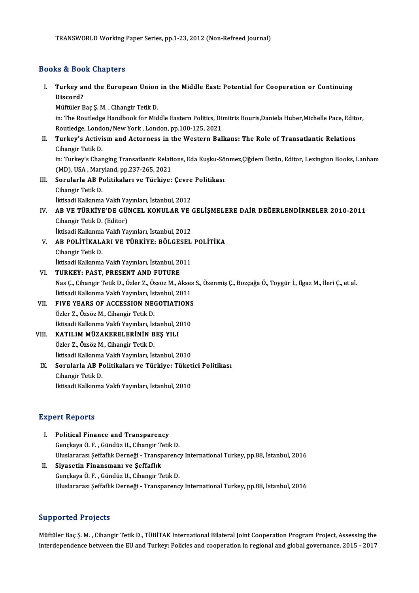# Books&Book Chapters

I. Turkey and the European Union in theMiddle East: Potential for Cooperation or Continuing ns & Boo<br>Turkey al<br>Discord?<br>Müftüler <sup>B</sup> Turkey and the European Union<br>Discord?<br>Müftüler Baç Ş.M. , Cihangir Tetik D.<br>in: The Boutledge Handbook for Mid

Discord?<br>Müftüler Baç Ş. M. , Cihangir Tetik D.<br>in: The Routledge Handbook for Middle Eastern Politics, Dimitris Bouris,Daniela Huber,Michelle Pace, Editor,<br>Routledge, Landar (Naw York, Jandar, rp.100,125, 2021 Müftüler Baç Ş. M. , Cihangir Tetik D.<br>in: The Routledge Handbook for Middle Eastern Politics, Di<br>Routledge, London/New York , London, pp.100-125, 2021<br>Turkey's Activism and Asterness in the Western Bel in: The Routledge Handbook for Middle Eastern Politics, Dimitris Bouris,Daniela Huber,Michelle Pace, Editornes<br>Routledge, London/New York , London, pp.100-125, 2021<br>II. Turkey's Activism and Actorness in the Western Balkan

Routledge, Lond<br>**Turkey's Activi**<br>Cihangir Tetik D.<br>in:Turker's Char Turkey's Activism and Actorness in the Western Balkans: The Role of Transatlantic Relations<br>Cihangir Tetik D.<br>in: Turkey's Changing Transatlantic Relations, Eda Kuşku-Sönmez,Çiğdem Üstün, Editor, Lexington Books, Lanham<br>(M

Cihangir Tetik D.<br>in: Turkey's Changing Transatlantic Relati<br>(MD), USA , Maryland, pp.237-265, 2021<br>Serularla AB Belitikalaru ve Türkiyev (MD), USA, Maryland, pp.237-265, 2021

III. Sorularla AB Politikaları ve Türkiye: Çevre Politikası<br>Cihangir Tetik D.

İktisadi Kalkınma Vakfı Yayınları, İstanbul, 2012

Cihangir Tetik D.<br>İktisadi Kalkınma Vakfı Yayınları, İstanbul, 2012<br>IV. AB VE TÜRKİYE'DE GÜNCEL KONULAR VE GELİŞMELERE DAİR DEĞERLENDİRMELER 2010-2011<br>Cihangir Tatik D. (Editar) İktisadi Kalkınma Vakfı Ya<br>AB VE TÜRKİYE'DE GÜ!<br>Cihangir Tetik D. (Editor)<br><sup>İltisadi Kallınma Vakfı Ya</sub></sup> AB VE TÜRKİYE'DE GÜNCEL KONULAR VE (<br>Cihangir Tetik D. (Editor)<br>İktisadi Kalkınma Vakfı Yayınları, İstanbul, 2012<br>AP POLITİKALARLYE TÜRKİYE, PÖLCESEL Cihangir Tetik D. (Editor)<br>İktisadi Kalkınma Vakfı Yayınları, İstanbul, 2012<br>V. AB POLİTİKALARI VE TÜRKİYE: BÖLGESEL POLİTİKA

Cihangir Tetik D.

İktisadi Kalkınma Vakfı Yayınları, İstanbul, 2011

- VI. TURKEY: PAST, PRESENT AND FUTURE İktisadi Kalkınma Vakfı Yayınları, İstanbul, 2011<br>TURKEY: PAST, PRESENT AND FUTURE<br>Nas Ç., Cihangir Tetik D., Özler Z., Özsöz M., Akses S., Özenmiş Ç., Bozçağa Ö., Toygür İ., Ilgaz M., İleri Ç., et al.<br>İltisadi Kallanma Va TURKEY: PAST, PRESENT AND FUTURE<br>Nas Ç., Cihangir Tetik D., Özler Z., Özsöz M., Akses<br>İktisadi Kalkınma Vakfı Yayınları, İstanbul, 2011<br>ELVE VEARS OE ACCESSION NECOTLATIONS Nas Ç., Cihangir Tetik D., Özler Z., Özsöz M., Akses<br>İktisadi Kalkınma Vakfı Yayınları, İstanbul, 2011<br>VII. FIVE YEARS OF ACCESSION NEGOTIATIONS<br>Özler Z. Özsöz M. Gibangir Tetik D
- İktisadi Kalkınma Vakfı Yayınları, İs<br>FIVE YEARS OF ACCESSION NEC<br>Özler Z., Özsöz M., Cihangir Tetik D.<br>İltisadi Kallunma Vakfı Yayınları, İs FIVE YEARS OF ACCESSION NEGOTIATIONS<br>Özler Z., Özsöz M., Cihangir Tetik D.<br>İktisadi Kalkınma Vakfı Yayınları, İstanbul, 2010<br>KATILIM MÜZAKERELERININ RES VILL Özler Z., Özsöz M., Cihangir Tetik D.<br>İktisadi Kalkınma Vakfı Yayınları, İstanbul, 2<br>VIII. KATILIM MÜZAKERELERİNİN BEŞ YILI
- İktisadi Kalkınma Vakfı Yayınları, İs<br>KATILIM MÜZAKERELERİNİN B<br>Özler Z., Özsöz M., Cihangir Tetik D.<br>İktisadi Kalkınma Vakfı Yayınları, İs KATILIM MÜZAKERELERİNİN BEŞ YILI<br>Özler Z., Özsöz M., Cihangir Tetik D.<br>İktisadi Kalkınma Vakfı Yayınları, İstanbul, 2010<br>Semrlarla AB Belitikaları ve Türkiye: Tüket Özler Z., Özsöz M., Cihangir Tetik D.<br>İktisadi Kalkınma Vakfı Yayınları, İstanbul, 2010<br>IX. Sorularla AB Politikaları ve Türkiye: Tüketici Politikası<br>Gihangir Tatik D.
- İktisadi Kalkınma<br>Sorularla AB P<br>Cihangir Tetik D.<br>İltisadi Kallunma Cihangir Tetik D.<br>İktisadi Kalkınma Vakfı Yayınları, İstanbul, 2010

## **Expert Reports**

- Xpert Reports<br>I. Political Finance and Transparency<br>Consigns Ö.E. Cündüz II. Cibangir Tetil ort reeports<br>Political Finance and Transparency<br>Gençkaya Ö. F. , Gündüz U., Cihangir Tetik D.<br>Uluslarence: Seffefik Derneği , Transparenc Political Finance and Transparency<br>Gençkaya Ö. F. , Gündüz U., Cihangir Tetik D.<br>Uluslararası Şeffaflık Derneği - Transparency International Turkey, pp.88, İstanbul, 2016<br>Siyasetin Finansmanı ve Seffaflık Gençkaya Ö. F. , Gündüz U., Cihangir Tetik D.<br>Uluslararası Şeffaflık Derneği - Transparenc<br>II. Siyasetin Finansmanı ve Şeffaflık<br>Genckaya Ö. F. , Gündüz U., Cihangir Tetik D.
- Uluslararası Şeffaflık Derneği Transparenc<br>Siyasetin Finansmanı ve Şeffaflık<br>Gençkaya Ö. F. , Gündüz U., Cihangir Tetik D.<br>Uluslararası Seffaflık Derneği Transparang UluslararasıŞef aflıkDerneği -Transparency InternationalTurkey,pp.88, İstanbul,2016

## Supported Projects

Supported Projects<br>Müftüler Baç Ş. M. , Cihangir Tetik D., TÜBİTAK International Bilateral Joint Cooperation Program Project, Assessing the<br>interdependence between the EU and Turkew Belisies and cooperation in regional and المحروبية العربية العربية العربية العربية العربية العربية العربية العربية العربية العربية العربية العربية الع<br>Müftüler Baç Ş. M. , Cihangir Tetik D., TÜBİTAK International Bilateral Joint Cooperation Program Project, Asse